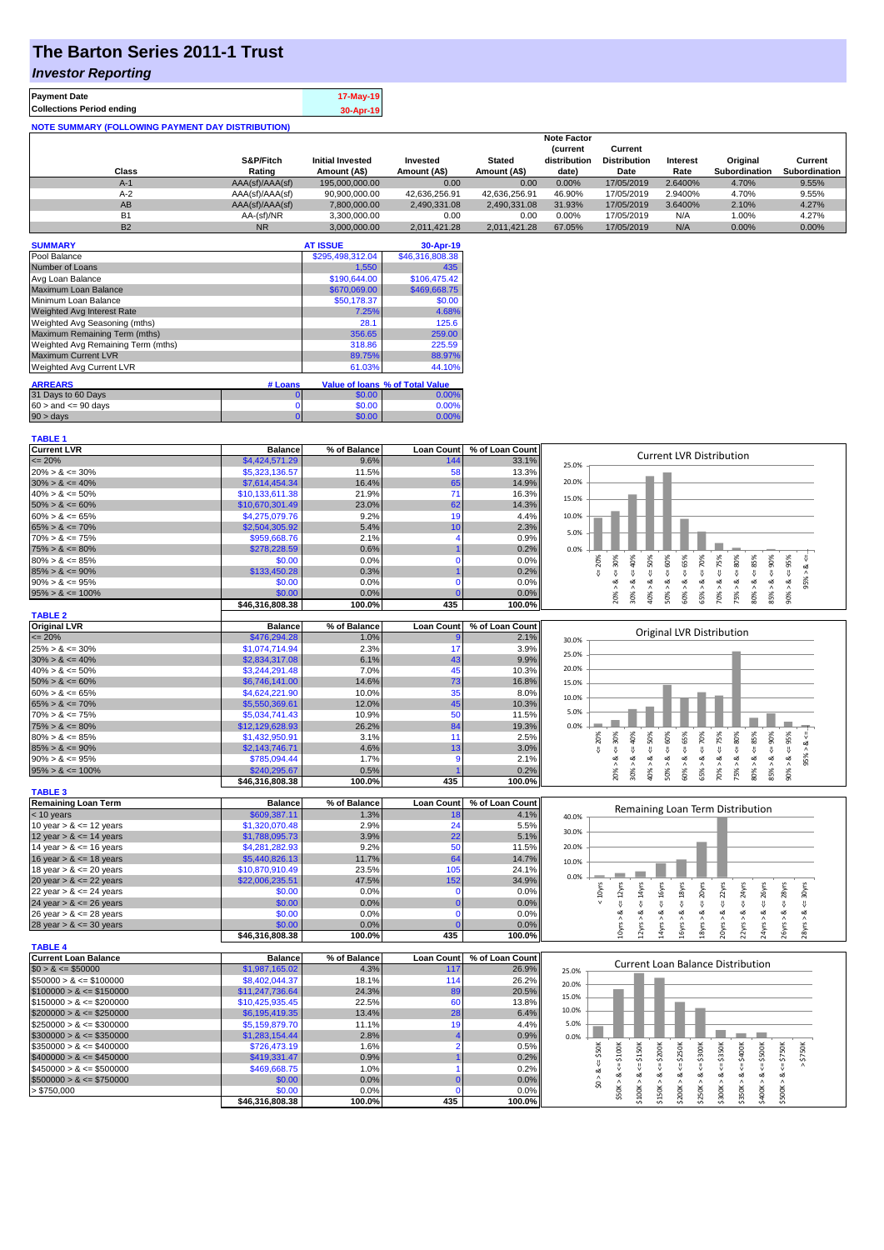# **The Barton Series 2011-1 Trust**

### *Investor Reporting*

| <b>Payment Date</b>                                      | 17-May-19 |
|----------------------------------------------------------|-----------|
| <b>Collections Period ending</b>                         | 30-Apr-19 |
| <b>NOTE SUMMARY (FOLLOWING PAYMENT DAY DISTRIBUTION)</b> |           |

|                |                 |                         |               |               | <b>Note Factor</b> |                     |                 |               |               |
|----------------|-----------------|-------------------------|---------------|---------------|--------------------|---------------------|-----------------|---------------|---------------|
|                |                 |                         |               |               | <b>Current</b>     | Current             |                 |               |               |
|                | S&P/Fitch       | <b>Initial Invested</b> | Invested      | <b>Stated</b> | distribution       | <b>Distribution</b> | <b>Interest</b> | Original      | Current       |
| Class          | Rating          | Amount (A\$)            | Amount (A\$)  | Amount (A\$)  | date)              | Date                | Rate            | Subordination | Subordination |
| $A-1$          | AAA(sf)/AAA(sf) | 195,000,000,00          | 0.00          | 0.00          | 0.00%              | 17/05/2019          | 2.6400%         | 4.70%         | 9.55%         |
| $A-2$          | AAA(sf)/AAA(sf) | 90,900,000.00           | 42.636.256.91 | 42.636.256.91 | 46.90%             | 17/05/2019          | 2.9400%         | 4.70%         | 9.55%         |
| AB             | AAA(sf)/AAA(sf) | 7,800,000.00            | 2.490.331.08  | 2.490.331.08  | 31.93%             | 17/05/2019          | 3.6400%         | 2.10%         | 4.27%         |
| B <sub>1</sub> | AA-(sf)/NR      | 3.300.000.00            | 0.00          | 0.00          | $0.00\%$           | 17/05/2019          | N/A             | 1.00%         | 4.27%         |
| <b>B2</b>      | <b>NR</b>       | 3.000.000.00            | 2.011.421.28  | 2.011.421.28  | 67.05%             | 17/05/2019          | N/A             | $0.00\%$      | 0.00%         |

| <b>SUMMARY</b>                     |         | <b>AT ISSUE</b>  | 30-Apr-19                       |
|------------------------------------|---------|------------------|---------------------------------|
| Pool Balance                       |         | \$295,498,312.04 | \$46,316,808.38                 |
| Number of Loans                    |         | 1,550            | 435                             |
| Avg Loan Balance                   |         | \$190,644.00     | \$106,475.42                    |
| Maximum Loan Balance               |         | \$670,069.00     | \$469,668.75                    |
| Minimum Loan Balance               |         | \$50.178.37      | \$0.00                          |
| <b>Weighted Avg Interest Rate</b>  |         | 7.25%            | 4.68%                           |
| Weighted Avg Seasoning (mths)      |         | 28.1             | 125.6                           |
| Maximum Remaining Term (mths)      |         | 356.65           | 259.00                          |
| Weighted Avg Remaining Term (mths) |         | 318.86           | 225.59                          |
| <b>Maximum Current LVR</b>         |         | 89.75%           | 88.97%                          |
| Weighted Avg Current LVR           |         | 61.03%           | 44.10%                          |
| <b>ARREARS</b>                     | # Loans |                  | Value of Ioans % of Total Value |
| 31 Days to 60 Days                 | 0       | \$0.00           | 0.00%                           |
| $60 >$ and $\leq 90$ days          | 0       | \$0.00           | 0.00%                           |
| $90 > \text{days}$                 | 0       | \$0.00           | 0.00%                           |

| TARI F 1           |  |
|--------------------|--|
| <b>Current LVR</b> |  |

| <b>Current LVR</b><br>% of Balance<br><b>Loan Count</b><br>% of Loan Count<br><b>Balance</b><br><b>Current LVR Distribution</b><br>$= 20%$<br>\$4,424,571.29<br>9.6%<br>144<br>33.1%<br>25.0%<br>$20\% > 8 \le 30\%$<br>\$5,323,136.57<br>11.5%<br>58<br>13.3% |                                                                  |
|----------------------------------------------------------------------------------------------------------------------------------------------------------------------------------------------------------------------------------------------------------------|------------------------------------------------------------------|
|                                                                                                                                                                                                                                                                |                                                                  |
|                                                                                                                                                                                                                                                                |                                                                  |
| 20.0%<br>16.4%<br>65<br>$30\% > 8 \le 40\%$<br>\$7,614,454.34<br>14.9%                                                                                                                                                                                         |                                                                  |
| 71<br>$40\% > 8 \le 50\%$<br>\$10,133,611.38<br>21.9%<br>16.3%                                                                                                                                                                                                 |                                                                  |
| 15.0%<br>$50\% > 8 \le 60\%$<br>\$10,670,301.49<br>23.0%<br>62<br>14.3%                                                                                                                                                                                        |                                                                  |
| 10.0%<br>\$4,275,079.76<br>9.2%<br>19<br>4.4%<br>$60\% > 8 \le 65\%$                                                                                                                                                                                           |                                                                  |
| $65\% > 8 \le 70\%$<br>\$2,504,305.92<br>5.4%<br>10<br>2.3%                                                                                                                                                                                                    |                                                                  |
| 5.0%<br>$70\% > 8 \le 75\%$<br>\$959,668.76<br>2.1%<br>0.9%                                                                                                                                                                                                    |                                                                  |
| $75\% > 8 \le 80\%$<br>\$278,228.59<br>0.6%<br>0.2%<br>0.0%                                                                                                                                                                                                    |                                                                  |
| $80\% > 8 \le 85\%$<br>\$0.00<br>0.0%<br>0.0%<br>$\Omega$                                                                                                                                                                                                      |                                                                  |
| $5 = 20%$<br>$4 = 30\%$<br>$60\% > 8$ <= $65\%$<br>$65\% > 8 \le x = 70\%$<br>$\leq 75\%$<br>$<-40%$<br>50%<br>$50\% > 8 <= 60\%$<br>$\leq 80\%$<br>\$133,450.28<br>$85\% > 8 \le 90\%$<br>0.3%<br>0.2%                                                        | $80\% > 8 <= 85\%$<br>$85\% > 8 <= 90\%$<br>$-90\% > 8 < = 95\%$ |
| $\sqrt{ }$<br>\$0.00<br>0.0%<br>ವ<br>ಯ<br>$90\% > 8 \le 95\%$<br>0.0%<br>$\Omega$                                                                                                                                                                              | 95% > 8                                                          |
| 75% > 8<br>0.0%<br>$95\% > 8 \le 100\%$<br>\$0.00<br>0.0%                                                                                                                                                                                                      |                                                                  |
| $70\% > 8.$<br>$30\% > 8$ .<br>20% ><br>40%<br>435<br>\$46,316,808.38<br>100.0%<br>100.0%                                                                                                                                                                      |                                                                  |
| <b>TABLE 2</b>                                                                                                                                                                                                                                                 |                                                                  |
| Original LVR<br><b>Loan Count</b><br>% of Loan Count<br><b>Balance</b><br>% of Balance                                                                                                                                                                         |                                                                  |
| Original LVR Distribution<br>$= 20%$<br>\$476,294.28<br>2.1%<br>1.0%                                                                                                                                                                                           |                                                                  |
| 30.0%<br>$25\% > 8 \le 30\%$<br>\$1,074,714.94<br>17<br>2.3%<br>3.9%                                                                                                                                                                                           |                                                                  |
| 25.0%<br>43<br>$30\% > 8 \le 40\%$<br>\$2,834,317.08<br>6.1%<br>9.9%                                                                                                                                                                                           |                                                                  |
| 20.0%<br>45<br>$40\% > 8 \le 50\%$<br>\$3,244,291.48<br>7.0%<br>10.3%                                                                                                                                                                                          |                                                                  |
| $50\% > 8 \le 60\%$<br>14.6%                                                                                                                                                                                                                                   |                                                                  |
| \$6,746,141.00<br>73<br>16.8%<br>15.0%<br>35<br>$60\% > 8 \le 65\%$<br>\$4,624,221.90<br>10.0%<br>8.0%                                                                                                                                                         |                                                                  |
| 10.0%<br>$65\% > 8 \le 70\%$<br>\$5,550,369.61<br>12.0%<br>45<br>10.3%                                                                                                                                                                                         |                                                                  |
| 5.0%<br>50                                                                                                                                                                                                                                                     |                                                                  |
| $70\% > 8 \le 75\%$<br>\$5,034,741.43<br>10.9%<br>11.5%<br>26.2%<br>0.0%                                                                                                                                                                                       |                                                                  |
| $75\% > 8 \le 80\%$<br>\$12,129,628.93<br>84<br>19.3%<br>11                                                                                                                                                                                                    |                                                                  |
| $4 = 30\%$<br>40%<br>50%<br>$4 = 65%$<br>$4 = 70%$<br>$4 = 75%$<br>$\le 80\%$<br>20%<br>$\le 60\%$<br>$80\% > 8 \le 85\%$<br>\$1,432,950.91<br>3.1%<br>2.5%                                                                                                    | $4 = 90\%$                                                       |
| $85\% > 8 \le 90\%$<br>\$2,143,746.71<br>4.6%<br>3.0%<br>13<br>8<br>₩<br>$90\% > 8 \le 95\%$<br>\$785,094.44<br>1.7%<br>2.1%<br>ಷ<br>ಷ<br>ಹ<br>ಷ<br>C                                                                                                          | $95\% > 8 <$                                                     |
| 65% > 8<br>\$240,295.67<br>0.5%<br>0.2%                                                                                                                                                                                                                        | $80\% > 8 \leq 85\%$<br>$90\% > 8 <= 95\%$                       |
| $60\% > 8.$<br>$70\% > 8$ .<br>75% > 8.<br>20% ><br>30% ><br>50% ><br>40% ><br>$95\% > 8 \le 100\%$<br>\$46,316,808.38<br>100.0%<br>435<br>100.0%                                                                                                              | 85% > 8.                                                         |
| <b>TABLE 3</b>                                                                                                                                                                                                                                                 |                                                                  |
| <b>Remaining Loan Term</b><br><b>Balance</b><br>% of Balance<br><b>Loan Count</b><br>% of Loan Count                                                                                                                                                           |                                                                  |
| Remaining Loan Term Distribution<br>\$609,387.11<br>< 10 years<br>1.3%<br>4.1%<br>18<br>40.0%                                                                                                                                                                  |                                                                  |
| 10 year $> 8 \le 12$ years<br>24<br>\$1,320,070.48<br>2.9%<br>5.5%                                                                                                                                                                                             |                                                                  |
| 30.0%<br>12 year $> 8 \le 14$ years<br>\$1,788,095.73<br>3.9%<br>22<br>5.1%                                                                                                                                                                                    |                                                                  |
| 50<br>20.0%<br>14 year $> 8 \le 16$ years<br>\$4,281,282.93<br>9.2%<br>11.5%                                                                                                                                                                                   |                                                                  |
| 16 year $> 8 \le 18$ years<br>\$5,440,826.13<br>11.7%<br>64<br>14.7%                                                                                                                                                                                           |                                                                  |
| 10.0%<br>105<br>18 year $> 8 < = 20$ years<br>\$10,870,910.49<br>23.5%<br>24.1%                                                                                                                                                                                |                                                                  |
| 0.0%<br>\$22,006,235.51<br>47.5%<br>34.9%<br>20 year $> 8 \le 22$ years<br>152                                                                                                                                                                                 |                                                                  |
| $\leq$ 20 $\gamma$ rs<br>$\leq$ 22 $\gamma$ rs<br>$\epsilon$ = 12 $\gamma$ rs<br>$\leq 14$ yrs<br>$c = 16$ yrs<br>$\leq 18$ yrs<br>$\leq$ 24yrs<br>$< 10$ yrs<br>0.0%<br>0.0%<br>22 year $> 8 \le 24$ years<br>\$0.00<br>$\Omega$                              | $\epsilon$ = 26yrs<br>$4 = 30$ yrs                               |
| 24 year $> 8 \le 26$ years<br>\$0.00<br>0.0%<br>0.0%                                                                                                                                                                                                           |                                                                  |
| œ<br>ಷ<br>ಷ<br>\$0.00<br>0.0%<br>0.0%<br>26 year $> 8 \le 28$ years<br>$\Omega$                                                                                                                                                                                |                                                                  |
| 10yrs > 8<br>12yrs > 8<br>20yrs > 8<br>22yrs > 8<br>Ayrs ><br>L6yrs ><br>18yrs<br>28 year $> 8 \le 30$ years<br>\$0.00<br>0.0%<br>0.0%                                                                                                                         | 24yrs > 8<br>28yrs > 8                                           |
| \$46,316,808.38<br>100.0%<br>435<br>100.0%                                                                                                                                                                                                                     | $26yrs > 8 \Leftarrow 28yrs$                                     |
| <b>TABLE 4</b>                                                                                                                                                                                                                                                 |                                                                  |
| <b>Current Loan Balance</b><br><b>Balance</b><br>% of Balance<br><b>Loan Count</b><br>% of Loan Count                                                                                                                                                          |                                                                  |
| <b>Current Loan Balance Distribution</b><br>$$0 > 8 \leq $50000$<br>\$1,987,165.02<br>4.3%<br>11 <sub>1</sub><br>26.9%<br>25.0%                                                                                                                                |                                                                  |
| \$8,402,044.37<br>$$50000 > 8 \le $100000$<br>18.1%<br>114<br>26.2%<br>20.0%                                                                                                                                                                                   |                                                                  |
| $$100000 > 8 \le $150000$<br>\$11,247,736.64<br>24.3%<br>89<br>20.5%                                                                                                                                                                                           |                                                                  |
| 15.0%<br>$$150000 > 8 \leq $200000$<br>\$10,425,935.45<br>22.5%<br>60<br>13.8%                                                                                                                                                                                 |                                                                  |
| 10.0%<br>$$200000 > 8 \leq $250000$<br>\$6,195,419.35<br>13.4%<br>28<br>6.4%                                                                                                                                                                                   |                                                                  |
| 19<br>$$250000 > 8 \leq $300000$<br>\$5,159,879.70<br>11.1%<br>4.4%<br>5.0%                                                                                                                                                                                    |                                                                  |
| $$300000 > 8 \leq $350000$<br>\$1,283,154.44<br>2.8%<br>0.9%<br>0.0%                                                                                                                                                                                           |                                                                  |
| \$726,473.19<br>$$350000 > 8 \leq $400000$<br>1.6%<br>0.5%                                                                                                                                                                                                     |                                                                  |
| $4 = $150K$<br>$$400000 > 8 \leq $450000$<br>\$419,331.47<br>0.9%<br>0.2%                                                                                                                                                                                      | \$750K                                                           |
| $$450000 > 8 \leq $500000$<br>\$469,668.75<br>1.0%<br>0.2%                                                                                                                                                                                                     |                                                                  |
| $$0 > 8 <= $50K$$<br>$$500000 > 8 \leq $750000$<br>\$0.00<br>0.0%<br>0.0%                                                                                                                                                                                      |                                                                  |
| $$50K > 8 <= $100K$<br>$$150K > <= $200K$$<br>$$200K > <= $250K$$<br>$$250K > 8 <= $300K$<br>$$300K > 8 <= $350K$<br>$$350K > 8 <= $400K$<br>\$100K > 8.<br>> \$750,000<br>\$0.00<br>0.0%<br>0.0%                                                              | $$400K > 8 <= $500K$<br>$$500K > 8 <= $750K$                     |
| 435<br>\$46,316,808.38<br>100.0%<br>100.0%                                                                                                                                                                                                                     |                                                                  |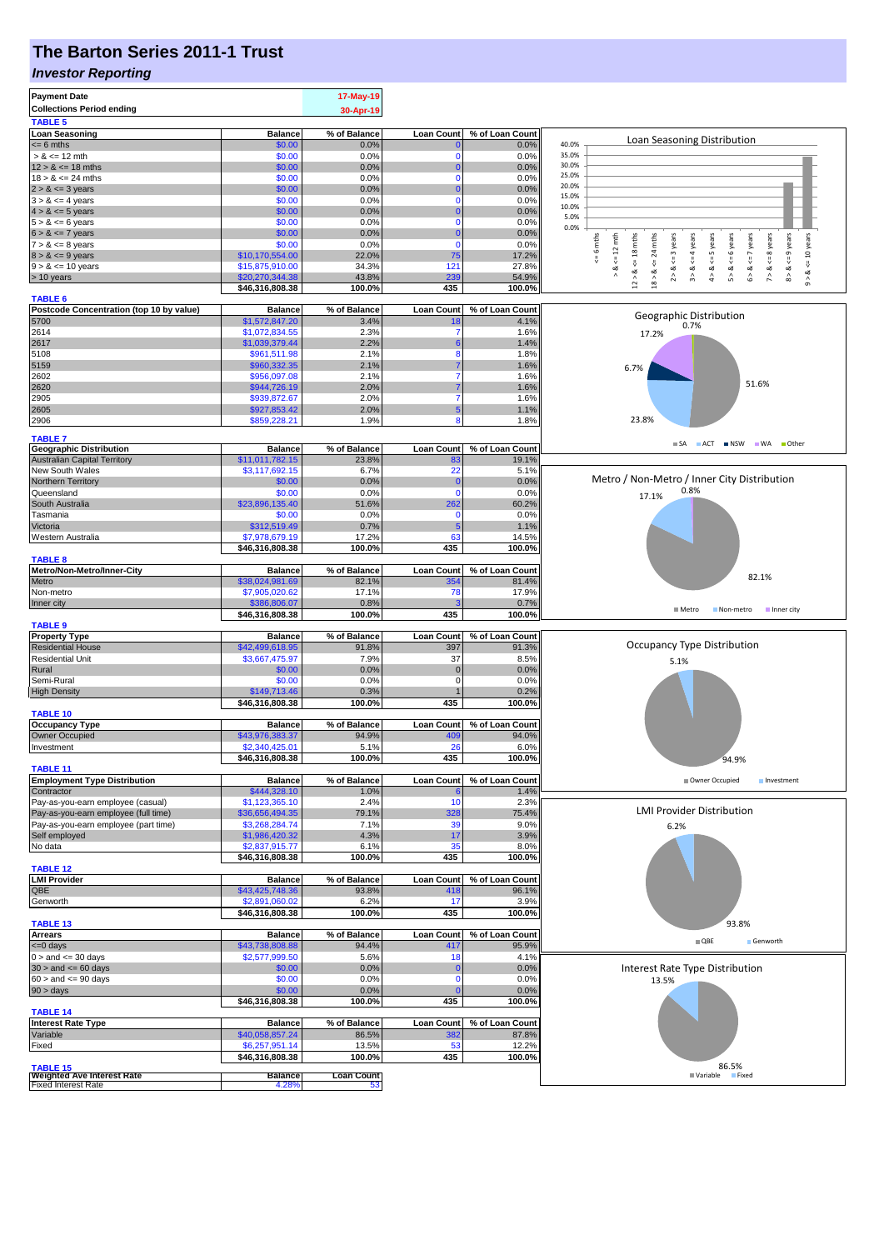# **The Barton Series 2011-1 Trust**

#### *Investor Reporting*

| <b>Payment Date</b><br><b>Collections Period ending</b><br><b>TABLE 5</b> |                                    | 17-May-19<br>30-Apr-19  |                          |                          |                                                                                                                                                                       |
|---------------------------------------------------------------------------|------------------------------------|-------------------------|--------------------------|--------------------------|-----------------------------------------------------------------------------------------------------------------------------------------------------------------------|
| <b>Loan Seasoning</b>                                                     | <b>Balance</b>                     | % of Balance            | <b>Loan Count</b>        | % of Loan Count          | Loan Seasoning Distribution                                                                                                                                           |
| $= 6$ mths                                                                | \$0.00                             | 0.0%                    |                          | 0.0%                     | 40.0%<br>35.0%                                                                                                                                                        |
| $> 8 \le 12$ mth<br>$12 > 8 \le 18$ mths                                  | \$0.00<br>\$0.00                   | 0.0%<br>0.0%            | $\mathbf 0$<br>$\bf{0}$  | 0.0%<br>0.0%             | 30.0%                                                                                                                                                                 |
| $18 > 8 \le 24$ mths                                                      | \$0.00                             | 0.0%                    | $\Omega$                 | 0.0%                     | 25.0%                                                                                                                                                                 |
| $2 > 8 \le 3$ years                                                       | \$0.00                             | 0.0%                    | $\Omega$                 | 0.0%                     | 20.0%<br>15.0%                                                                                                                                                        |
| $3 > 8 \le 4$ years                                                       | \$0.00<br>\$0.00                   | 0.0%<br>0.0%            | $\mathbf 0$<br>0         | 0.0%<br>0.0%             | 10.0%                                                                                                                                                                 |
| $4 > 8 \le 5$ years<br>$5 > 8 \le 6$ years                                | \$0.00                             | 0.0%                    | $\mathbf 0$              | 0.0%                     | 5.0%                                                                                                                                                                  |
| $6 > 8 \le 7$ years                                                       | \$0.00                             | 0.0%                    | $\Omega$                 | 0.0%                     | 0.0%                                                                                                                                                                  |
| $7 > 8 \le 8$ years                                                       | \$0.00                             | 0.0%                    | $\mathbf 0$              | 0.0%                     | $\leq$ 9 years<br>mths<br>$\leq 12$ mth<br>24 mths<br>years<br>$\leq$ = 4 years<br>6 years<br>$\le$ = 7 years<br><= 8 years<br><= 5 years<br>$\circ$<br>$\sim$        |
| $8 > 8 \le 9$ years<br>$9 > 8 \le 10$ years                               | \$10,170,554.00<br>\$15,875,910.00 | 22.0%<br>34.3%          | 75<br>121                | 17.2%<br>27.8%           | $\le$ = 10 years<br>$\stackrel{\scriptscriptstyle{0}}{\mathsf{v}}$<br>$\stackrel{\scriptscriptstyle{  }}{\mathsf{v}}$<br>$\sqrt{ }$<br>œ                              |
| > 10 years                                                                | \$20,270,344.38                    | 43.8%                   | 239                      | 54.9%                    | $12 > 8$ <= 18 mths<br>3 > 8<br>4 > 8<br>5 > 8<br>6 > 8<br>7 > 8<br>8 > 8<br>⊗<br>∧<br>18 > 8.<br>∞<br>$\stackrel{\scriptstyle\wedge}{\scriptstyle\sim}$<br>$\hat{0}$ |
|                                                                           | \$46,316,808.38                    | 100.0%                  | 435                      | 100.0%                   |                                                                                                                                                                       |
| <b>TABLE 6</b><br>Postcode Concentration (top 10 by value)                | <b>Balance</b>                     | % of Balance            | <b>Loan Count</b>        | % of Loan Count          |                                                                                                                                                                       |
| 5700                                                                      | \$1,572,847.20                     | 3.4%                    | 18                       | 4.1%                     | Geographic Distribution<br>0.7%                                                                                                                                       |
| 2614                                                                      | \$1,072,834.55                     | 2.3%                    | 7                        | 1.6%                     | 17.2%                                                                                                                                                                 |
| 2617<br>5108                                                              | \$1,039,379.44<br>\$961,511.98     | 2.2%<br>2.1%            | 8                        | 1.4%<br>1.8%             |                                                                                                                                                                       |
| 5159                                                                      | \$960,332.35                       | 2.1%                    |                          | 1.6%                     | 6.7%                                                                                                                                                                  |
| 2602                                                                      | \$956,097.08                       | 2.1%                    | 7                        | 1.6%                     |                                                                                                                                                                       |
| 2620                                                                      | \$944,726.19                       | 2.0%                    |                          | 1.6%                     | 51.6%                                                                                                                                                                 |
| 2905<br>2605                                                              | \$939,872.67<br>\$927,853.42       | 2.0%<br>2.0%            | 7<br>5                   | 1.6%<br>1.1%             |                                                                                                                                                                       |
| 2906                                                                      | \$859,228.21                       | 1.9%                    | 8                        | 1.8%                     | 23.8%                                                                                                                                                                 |
|                                                                           |                                    |                         |                          |                          |                                                                                                                                                                       |
| <b>TABLE 7</b><br><b>Geographic Distribution</b>                          | <b>Balance</b>                     | % of Balance            | <b>Loan Count</b>        | % of Loan Count          | SA ACT NSW WA Other                                                                                                                                                   |
| <b>Australian Capital Territory</b>                                       | \$11,011,782.15                    | 23.8%                   | 83                       | 19.1%                    |                                                                                                                                                                       |
| New South Wales                                                           | \$3,117,692.15                     | 6.7%                    | 22                       | 5.1%                     | Metro / Non-Metro / Inner City Distribution                                                                                                                           |
| Northern Territory<br>Queensland                                          | \$0.00<br>\$0.00                   | 0.0%<br>0.0%            | C<br>$\Omega$            | 0.0%<br>0.0%             | 0.8%                                                                                                                                                                  |
| South Australia                                                           | \$23,896,135.40                    | 51.6%                   | 262                      | 60.2%                    | 17.1%                                                                                                                                                                 |
| Tasmania                                                                  | \$0.00                             | 0.0%                    | $\Omega$                 | 0.0%                     |                                                                                                                                                                       |
| Victoria                                                                  | \$312,519.49                       | 0.7%                    |                          | 1.1%                     |                                                                                                                                                                       |
| Western Australia                                                         | \$7,978,679.19<br>\$46,316,808.38  | 17.2%<br>100.0%         | 63<br>435                | 14.5%<br>100.0%          |                                                                                                                                                                       |
| <b>TABLE 8</b>                                                            |                                    |                         |                          |                          |                                                                                                                                                                       |
| Metro/Non-Metro/Inner-City                                                | <b>Balance</b>                     | % of Balance            | <b>Loan Count</b>        | % of Loan Count          | 82.1%                                                                                                                                                                 |
| Metro<br>Non-metro                                                        | \$38,024,981.69<br>\$7,905,020.62  | 82.1%<br>17.1%          | 354<br>78                | 81.4%<br>17.9%           |                                                                                                                                                                       |
| Inner city                                                                | \$386,806.07                       | 0.8%                    |                          | 0.7%                     |                                                                                                                                                                       |
|                                                                           | \$46,316,808.38                    | 100.0%                  | 435                      | 100.0%                   | <b>■</b> Metro<br>Non-metro<br>Inner city                                                                                                                             |
| <b>TABLE 9</b>                                                            |                                    |                         |                          |                          |                                                                                                                                                                       |
| <b>Property Type</b><br><b>Residential House</b>                          | <b>Balance</b><br>\$42,499,618.95  | % of Balance<br>91.8%   | <b>Loan Count</b><br>397 | % of Loan Count<br>91.3% | Occupancy Type Distribution                                                                                                                                           |
| <b>Residential Unit</b>                                                   | \$3,667,475.97                     | 7.9%                    | 37                       | 8.5%                     | 5.1%                                                                                                                                                                  |
| Rural                                                                     | \$0.00                             | 0.0%                    | $\Omega$                 | 0.0%                     |                                                                                                                                                                       |
| Semi-Rural<br><b>High Density</b>                                         | \$0.00<br>\$149,713.46             | 0.0%<br>0.3%            | $\mathbf 0$              | 0.0%<br>0.2%             |                                                                                                                                                                       |
|                                                                           | \$46,316,808.38                    | 100.0%                  | 435                      | 100.0%                   |                                                                                                                                                                       |
| <b>TABLE 10</b>                                                           |                                    |                         |                          |                          |                                                                                                                                                                       |
| <b>Occupancy Type</b>                                                     | <b>Balance</b>                     | % of Balance            | Loan Count               | % of Loan Count          |                                                                                                                                                                       |
| Owner Occupied<br>Investment                                              | \$43,976,383.37<br>\$2,340,425.01  | 94.9%<br>5.1%           | 409<br>26                | 94.0%<br>6.0%            |                                                                                                                                                                       |
|                                                                           | \$46,316,808.38                    | 100.0%                  | 435                      | 100.0%                   | 94.9%                                                                                                                                                                 |
| <b>TABLE 11</b>                                                           |                                    |                         |                          |                          |                                                                                                                                                                       |
| <b>Employment Type Distribution</b><br>Contractor                         | <b>Balance</b><br>\$444,328.10     | % of Balance<br>1.0%    | <b>Loan Count</b>        | % of Loan Count<br>1.4%  | Owner Occupied<br>Investment                                                                                                                                          |
| Pay-as-you-earn employee (casual)                                         | \$1,123,365.10                     | 2.4%                    | 10                       | 2.3%                     |                                                                                                                                                                       |
| Pay-as-you-earn employee (full time)                                      | \$36,656,494.35                    | 79.1%                   | 328                      | 75.4%                    | <b>LMI Provider Distribution</b>                                                                                                                                      |
| Pay-as-you-earn employee (part time)                                      | \$3,268,284.74                     | 7.1%                    | 39                       | 9.0%                     | 6.2%                                                                                                                                                                  |
| Self employed<br>No data                                                  | \$1,986,420.32<br>\$2,837,915.77   | 4.3%<br>6.1%            | 17<br>35                 | 3.9%<br>8.0%             |                                                                                                                                                                       |
|                                                                           | \$46,316,808.38                    | 100.0%                  | 435                      | 100.0%                   |                                                                                                                                                                       |
| <b>TABLE 12</b>                                                           |                                    |                         |                          |                          |                                                                                                                                                                       |
| <b>LMI Provider</b><br>QBE                                                | <b>Balance</b><br>\$43,425,748.36  | % of Balance<br>93.8%   | <b>Loan Count</b><br>418 | % of Loan Count<br>96.1% |                                                                                                                                                                       |
| Genworth                                                                  | \$2,891,060.02                     | 6.2%                    | 17                       | 3.9%                     |                                                                                                                                                                       |
|                                                                           | \$46,316,808.38                    | 100.0%                  | 435                      | 100.0%                   |                                                                                                                                                                       |
| <b>TABLE 13</b>                                                           |                                    |                         |                          | % of Loan Count          | 93.8%                                                                                                                                                                 |
| <b>Arrears</b><br>$= 0$ days                                              | <b>Balance</b><br>\$43,738,808.88  | % of Balance<br>94.4%   | <b>Loan Count</b><br>417 | 95.9%                    | $\blacksquare$ QBE<br>Genworth                                                                                                                                        |
| $0 >$ and $\leq$ 30 days                                                  | \$2,577,999.50                     | 5.6%                    | 18                       | 4.1%                     |                                                                                                                                                                       |
| $30 >$ and $\leq 60$ days                                                 | \$0.00                             | 0.0%                    | 0                        | 0.0%                     | Interest Rate Type Distribution                                                                                                                                       |
| $60 >$ and $\leq 90$ days                                                 | \$0.00                             | 0.0%                    | $\Omega$                 | 0.0%                     | 13.5%                                                                                                                                                                 |
| $90 > \text{days}$                                                        | \$0.00<br>\$46,316,808.38          | 0.0%<br>100.0%          | 435                      | 0.0%<br>100.0%           |                                                                                                                                                                       |
| <b>TABLE 14</b>                                                           |                                    |                         |                          |                          |                                                                                                                                                                       |
| <b>Interest Rate Type</b>                                                 | <b>Balance</b>                     | % of Balance            | <b>Loan Count</b>        | % of Loan Count          |                                                                                                                                                                       |
| Variable                                                                  | \$40,058,857.24                    | 86.5%                   | 382                      | 87.8%                    |                                                                                                                                                                       |
| Fixed                                                                     | \$6,257,951.14<br>\$46,316,808.38  | 13.5%<br>100.0%         | 53<br>435                | 12.2%<br>100.0%          |                                                                                                                                                                       |
| <b>TABLE 15</b>                                                           |                                    |                         |                          |                          | 86.5%                                                                                                                                                                 |
| <b>Weighted Ave Interest Rate</b><br><b>Fixed Interest Rate</b>           | <b>Balance</b><br>4.28%            | <b>Loan Count</b><br>53 |                          |                          | Fixed<br>■ Variable                                                                                                                                                   |